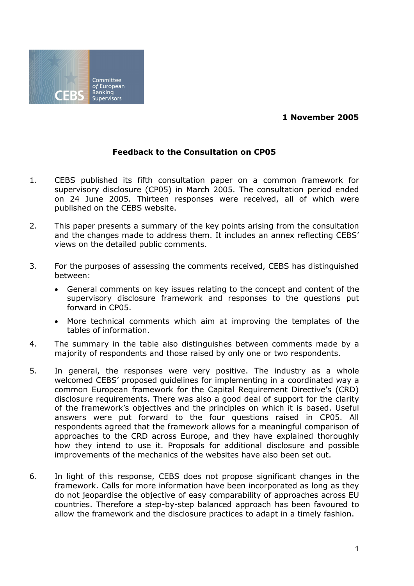

## **1 November 2005**

## **Feedback to the Consultation on CP05**

- 1. CEBS published its fifth consultation paper on a common framework for supervisory disclosure (CP05) in March 2005. The consultation period ended on 24 June 2005. Thirteen responses were received, all of which were published on the CEBS website.
- 2. This paper presents a summary of the key points arising from the consultation and the changes made to address them. It includes an annex reflecting CEBS' views on the detailed public comments.
- 3. For the purposes of assessing the comments received, CEBS has distinguished between:
	- · General comments on key issues relating to the concept and content of the supervisory disclosure framework and responses to the questions put forward in CP05.
	- · More technical comments which aim at improving the templates of the tables of information.
- 4. The summary in the table also distinguishes between comments made by a majority of respondents and those raised by only one or two respondents.
- 5. In general, the responses were very positive. The industry as a whole welcomed CEBS' proposed guidelines for implementing in a coordinated way a common European framework for the Capital Requirement Directive's (CRD) disclosure requirements. There was also a good deal of support for the clarity of the framework's objectives and the principles on which it is based. Useful answers were put forward to the four questions raised in CP05. All respondents agreed that the framework allows for a meaningful comparison of approaches to the CRD across Europe, and they have explained thoroughly how they intend to use it. Proposals for additional disclosure and possible improvements of the mechanics of the websites have also been set out.
- 6. In light of this response, CEBS does not propose significant changes in the framework. Calls for more information have been incorporated as long as they do not jeopardise the objective of easy comparability of approaches across EU countries. Therefore a step-by-step balanced approach has been favoured to allow the framework and the disclosure practices to adapt in a timely fashion.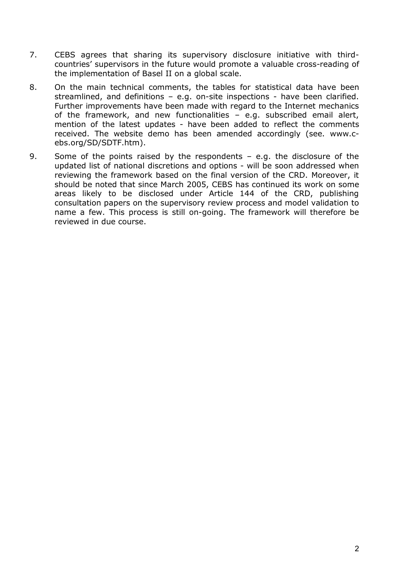- 7. CEBS agrees that sharing its supervisory disclosure initiative with thirdcountries' supervisors in the future would promote a valuable cross-reading of the implementation of Basel II on a global scale.
- 8. On the main technical comments, the tables for statistical data have been streamlined, and definitions  $-$  e.g. on-site inspections  $-$  have been clarified. Further improvements have been made with regard to the Internet mechanics of the framework, and new functionalities – e.g. subscribed email alert, mention of the latest updates - have been added to reflect the comments received. The website demo has been amended accordingly (see. www.cebs.org/SD/SDTF.htm).
- 9. Some of the points raised by the respondents e.g. the disclosure of the updated list of national discretions and options - will be soon addressed when reviewing the framework based on the final version of the CRD. Moreover, it should be noted that since March 2005, CEBS has continued its work on some areas likely to be disclosed under Article 144 of the CRD, publishing consultation papers on the supervisory review process and model validation to name a few. This process is still on-going. The framework will therefore be reviewed in due course.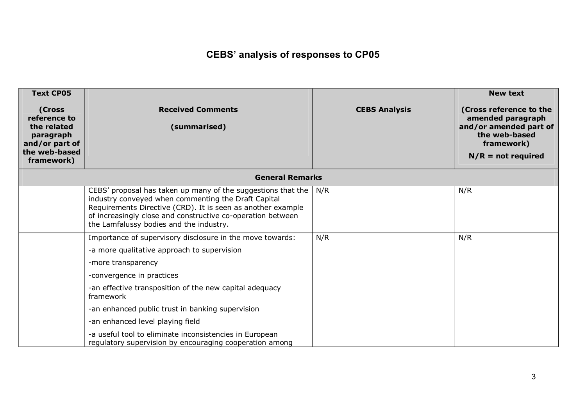## **CEBS' analysis of responses to CP05**

| <b>Text CP05</b><br>(Cross<br>reference to<br>the related<br>paragraph<br>and/or part of | <b>Received Comments</b><br>(summarised)                                                                                                                                                                                                                                                     | <b>CEBS Analysis</b> | <b>New text</b><br>(Cross reference to the<br>amended paragraph<br>and/or amended part of<br>the web-based<br>framework) |
|------------------------------------------------------------------------------------------|----------------------------------------------------------------------------------------------------------------------------------------------------------------------------------------------------------------------------------------------------------------------------------------------|----------------------|--------------------------------------------------------------------------------------------------------------------------|
| the web-based<br>framework)                                                              |                                                                                                                                                                                                                                                                                              |                      | $N/R$ = not required                                                                                                     |
|                                                                                          | <b>General Remarks</b>                                                                                                                                                                                                                                                                       |                      |                                                                                                                          |
|                                                                                          | CEBS' proposal has taken up many of the suggestions that the<br>industry conveyed when commenting the Draft Capital<br>Requirements Directive (CRD). It is seen as another example<br>of increasingly close and constructive co-operation between<br>the Lamfalussy bodies and the industry. | N/R                  | N/R                                                                                                                      |
|                                                                                          | Importance of supervisory disclosure in the move towards:<br>-a more qualitative approach to supervision<br>-more transparency<br>-convergence in practices<br>-an effective transposition of the new capital adequacy<br>framework                                                          | N/R                  | N/R                                                                                                                      |
|                                                                                          | -an enhanced public trust in banking supervision                                                                                                                                                                                                                                             |                      |                                                                                                                          |
|                                                                                          | -an enhanced level playing field<br>-a useful tool to eliminate inconsistencies in European<br>regulatory supervision by encouraging cooperation among                                                                                                                                       |                      |                                                                                                                          |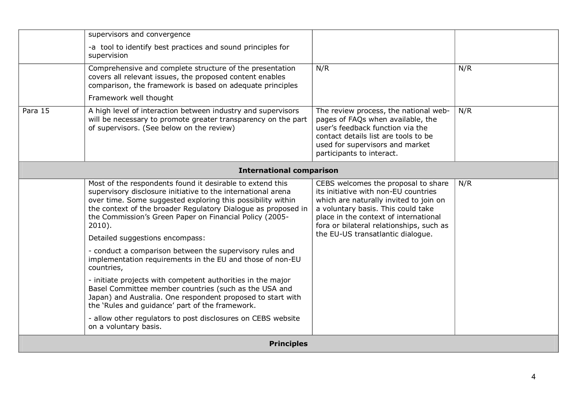| supervisors and convergence                                                                                                                                                                                                                                                                                                                                                                                                                                                                                                                                                                                                                                                                                                                                                                                                                    |                                                                                                                                                                                                                                                                                       |     |  |
|------------------------------------------------------------------------------------------------------------------------------------------------------------------------------------------------------------------------------------------------------------------------------------------------------------------------------------------------------------------------------------------------------------------------------------------------------------------------------------------------------------------------------------------------------------------------------------------------------------------------------------------------------------------------------------------------------------------------------------------------------------------------------------------------------------------------------------------------|---------------------------------------------------------------------------------------------------------------------------------------------------------------------------------------------------------------------------------------------------------------------------------------|-----|--|
| -a tool to identify best practices and sound principles for<br>supervision                                                                                                                                                                                                                                                                                                                                                                                                                                                                                                                                                                                                                                                                                                                                                                     |                                                                                                                                                                                                                                                                                       |     |  |
| Comprehensive and complete structure of the presentation<br>covers all relevant issues, the proposed content enables<br>comparison, the framework is based on adequate principles                                                                                                                                                                                                                                                                                                                                                                                                                                                                                                                                                                                                                                                              | N/R                                                                                                                                                                                                                                                                                   | N/R |  |
| Framework well thought                                                                                                                                                                                                                                                                                                                                                                                                                                                                                                                                                                                                                                                                                                                                                                                                                         |                                                                                                                                                                                                                                                                                       |     |  |
| Para 15<br>A high level of interaction between industry and supervisors<br>will be necessary to promote greater transparency on the part<br>of supervisors. (See below on the review)                                                                                                                                                                                                                                                                                                                                                                                                                                                                                                                                                                                                                                                          | The review process, the national web-<br>pages of FAQs when available, the<br>user's feedback function via the<br>contact details list are tools to be<br>used for supervisors and market<br>participants to interact.                                                                | N/R |  |
| <b>International comparison</b>                                                                                                                                                                                                                                                                                                                                                                                                                                                                                                                                                                                                                                                                                                                                                                                                                |                                                                                                                                                                                                                                                                                       |     |  |
| Most of the respondents found it desirable to extend this<br>supervisory disclosure initiative to the international arena<br>over time. Some suggested exploring this possibility within<br>the context of the broader Regulatory Dialogue as proposed in<br>the Commission's Green Paper on Financial Policy (2005-<br>$2010$ ).<br>Detailed suggestions encompass:<br>- conduct a comparison between the supervisory rules and<br>implementation requirements in the EU and those of non-EU<br>countries,<br>- initiate projects with competent authorities in the major<br>Basel Committee member countries (such as the USA and<br>Japan) and Australia. One respondent proposed to start with<br>the 'Rules and guidance' part of the framework.<br>- allow other regulators to post disclosures on CEBS website<br>on a voluntary basis. | CEBS welcomes the proposal to share<br>its initiative with non-EU countries<br>which are naturally invited to join on<br>a voluntary basis. This could take<br>place in the context of international<br>fora or bilateral relationships, such as<br>the EU-US transatlantic dialogue. | N/R |  |
| <b>Principles</b>                                                                                                                                                                                                                                                                                                                                                                                                                                                                                                                                                                                                                                                                                                                                                                                                                              |                                                                                                                                                                                                                                                                                       |     |  |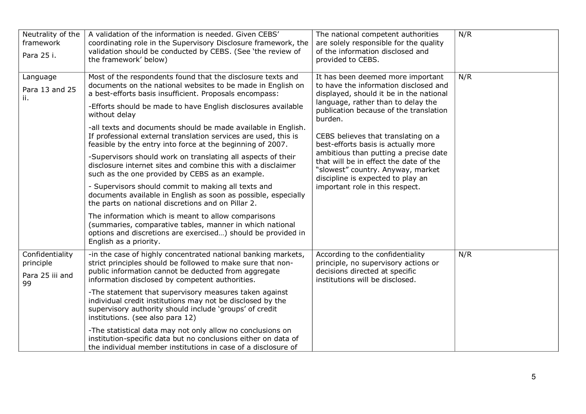| Neutrality of the<br>framework<br>Para 25 i.          | A validation of the information is needed. Given CEBS'<br>coordinating role in the Supervisory Disclosure framework, the<br>validation should be conducted by CEBS. (See 'the review of<br>the framework' below)                                                                                                                                                                                                                                                                                                                                                                                                                                                                                                                                                                                                                                                                                                                                                                                                                                         | The national competent authorities<br>are solely responsible for the quality<br>of the information disclosed and<br>provided to CEBS.                                                                                                                                                                                                                                                                                                                                                          | N/R |
|-------------------------------------------------------|----------------------------------------------------------------------------------------------------------------------------------------------------------------------------------------------------------------------------------------------------------------------------------------------------------------------------------------------------------------------------------------------------------------------------------------------------------------------------------------------------------------------------------------------------------------------------------------------------------------------------------------------------------------------------------------------------------------------------------------------------------------------------------------------------------------------------------------------------------------------------------------------------------------------------------------------------------------------------------------------------------------------------------------------------------|------------------------------------------------------------------------------------------------------------------------------------------------------------------------------------------------------------------------------------------------------------------------------------------------------------------------------------------------------------------------------------------------------------------------------------------------------------------------------------------------|-----|
| Language<br>Para 13 and 25<br>ii.                     | Most of the respondents found that the disclosure texts and<br>documents on the national websites to be made in English on<br>a best-efforts basis insufficient. Proposals encompass:<br>-Efforts should be made to have English disclosures available<br>without delay<br>-all texts and documents should be made available in English.<br>If professional external translation services are used, this is<br>feasible by the entry into force at the beginning of 2007.<br>-Supervisors should work on translating all aspects of their<br>disclosure internet sites and combine this with a disclaimer<br>such as the one provided by CEBS as an example.<br>- Supervisors should commit to making all texts and<br>documents available in English as soon as possible, especially<br>the parts on national discretions and on Pillar 2.<br>The information which is meant to allow comparisons<br>(summaries, comparative tables, manner in which national<br>options and discretions are exercised) should be provided in<br>English as a priority. | It has been deemed more important<br>to have the information disclosed and<br>displayed, should it be in the national<br>language, rather than to delay the<br>publication because of the translation<br>burden.<br>CEBS believes that translating on a<br>best-efforts basis is actually more<br>ambitious than putting a precise date<br>that will be in effect the date of the<br>"slowest" country. Anyway, market<br>discipline is expected to play an<br>important role in this respect. | N/R |
| Confidentiality<br>principle<br>Para 25 iii and<br>99 | -in the case of highly concentrated national banking markets,<br>strict principles should be followed to make sure that non-<br>public information cannot be deducted from aggregate<br>information disclosed by competent authorities.<br>-The statement that supervisory measures taken against<br>individual credit institutions may not be disclosed by the<br>supervisory authority should include 'groups' of credit<br>institutions. (see also para 12)<br>-The statistical data may not only allow no conclusions on<br>institution-specific data but no conclusions either on data of<br>the individual member institutions in case of a disclosure of                                                                                                                                                                                                                                                                                                                                                                                          | According to the confidentiality<br>principle, no supervisory actions or<br>decisions directed at specific<br>institutions will be disclosed.                                                                                                                                                                                                                                                                                                                                                  | N/R |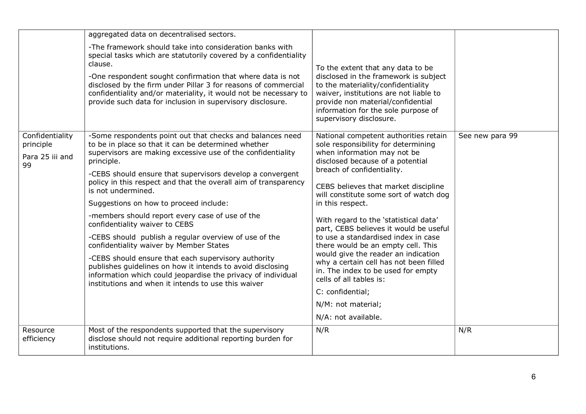|                                                       | aggregated data on decentralised sectors.                                                                                                                                                                                                                                                                                                                                                                                                                                                                                                                                                                                                                                                                                                                                                                                          |                                                                                                                                                                                                                                                                                                                                                                                                                                                                                                                                                                                                                                                                        |                 |
|-------------------------------------------------------|------------------------------------------------------------------------------------------------------------------------------------------------------------------------------------------------------------------------------------------------------------------------------------------------------------------------------------------------------------------------------------------------------------------------------------------------------------------------------------------------------------------------------------------------------------------------------------------------------------------------------------------------------------------------------------------------------------------------------------------------------------------------------------------------------------------------------------|------------------------------------------------------------------------------------------------------------------------------------------------------------------------------------------------------------------------------------------------------------------------------------------------------------------------------------------------------------------------------------------------------------------------------------------------------------------------------------------------------------------------------------------------------------------------------------------------------------------------------------------------------------------------|-----------------|
|                                                       | -The framework should take into consideration banks with<br>special tasks which are statutorily covered by a confidentiality<br>clause.<br>-One respondent sought confirmation that where data is not<br>disclosed by the firm under Pillar 3 for reasons of commercial<br>confidentiality and/or materiality, it would not be necessary to<br>provide such data for inclusion in supervisory disclosure.                                                                                                                                                                                                                                                                                                                                                                                                                          | To the extent that any data to be<br>disclosed in the framework is subject<br>to the materiality/confidentiality<br>waiver, institutions are not liable to<br>provide non material/confidential<br>information for the sole purpose of<br>supervisory disclosure.                                                                                                                                                                                                                                                                                                                                                                                                      |                 |
| Confidentiality<br>principle<br>Para 25 iii and<br>99 | -Some respondents point out that checks and balances need<br>to be in place so that it can be determined whether<br>supervisors are making excessive use of the confidentiality<br>principle.<br>-CEBS should ensure that supervisors develop a convergent<br>policy in this respect and that the overall aim of transparency<br>is not undermined.<br>Suggestions on how to proceed include:<br>-members should report every case of use of the<br>confidentiality waiver to CEBS<br>-CEBS should publish a regular overview of use of the<br>confidentiality waiver by Member States<br>-CEBS should ensure that each supervisory authority<br>publishes guidelines on how it intends to avoid disclosing<br>information which could jeopardise the privacy of individual<br>institutions and when it intends to use this waiver | National competent authorities retain<br>sole responsibility for determining<br>when information may not be<br>disclosed because of a potential<br>breach of confidentiality.<br>CEBS believes that market discipline<br>will constitute some sort of watch dog<br>in this respect.<br>With regard to the 'statistical data'<br>part, CEBS believes it would be useful<br>to use a standardised index in case<br>there would be an empty cell. This<br>would give the reader an indication<br>why a certain cell has not been filled<br>in. The index to be used for empty<br>cells of all tables is:<br>C: confidential;<br>N/M: not material;<br>N/A: not available. | See new para 99 |
| Resource<br>efficiency                                | Most of the respondents supported that the supervisory<br>disclose should not require additional reporting burden for<br>institutions.                                                                                                                                                                                                                                                                                                                                                                                                                                                                                                                                                                                                                                                                                             | N/R                                                                                                                                                                                                                                                                                                                                                                                                                                                                                                                                                                                                                                                                    | N/R             |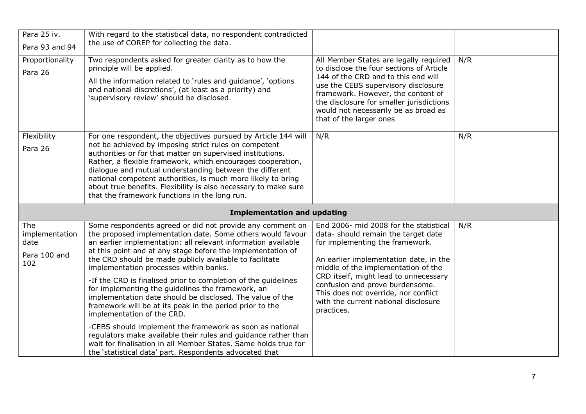| Para 25 iv.<br>Para 93 and 94                               | With regard to the statistical data, no respondent contradicted<br>the use of COREP for collecting the data.                                                                                                                                                                                                                                                                                                                                                                                                                                                                                                                                                                                                                                                             |                                                                                                                                                                                                                                                                                                                                                                            |     |
|-------------------------------------------------------------|--------------------------------------------------------------------------------------------------------------------------------------------------------------------------------------------------------------------------------------------------------------------------------------------------------------------------------------------------------------------------------------------------------------------------------------------------------------------------------------------------------------------------------------------------------------------------------------------------------------------------------------------------------------------------------------------------------------------------------------------------------------------------|----------------------------------------------------------------------------------------------------------------------------------------------------------------------------------------------------------------------------------------------------------------------------------------------------------------------------------------------------------------------------|-----|
| Proportionality<br>Para 26                                  | Two respondents asked for greater clarity as to how the<br>principle will be applied.<br>All the information related to 'rules and guidance', 'options<br>and national discretions', (at least as a priority) and<br>'supervisory review' should be disclosed.                                                                                                                                                                                                                                                                                                                                                                                                                                                                                                           | All Member States are legally required<br>to disclose the four sections of Article<br>144 of the CRD and to this end will<br>use the CEBS supervisory disclosure<br>framework. However, the content of<br>the disclosure for smaller jurisdictions<br>would not necessarily be as broad as<br>that of the larger ones                                                      | N/R |
| Flexibility<br>Para 26                                      | For one respondent, the objectives pursued by Article 144 will<br>not be achieved by imposing strict rules on competent<br>authorities or for that matter on supervised institutions.<br>Rather, a flexible framework, which encourages cooperation,<br>dialogue and mutual understanding between the different<br>national competent authorities, is much more likely to bring<br>about true benefits. Flexibility is also necessary to make sure<br>that the framework functions in the long run.                                                                                                                                                                                                                                                                      | N/R                                                                                                                                                                                                                                                                                                                                                                        | N/R |
|                                                             | <b>Implementation and updating</b>                                                                                                                                                                                                                                                                                                                                                                                                                                                                                                                                                                                                                                                                                                                                       |                                                                                                                                                                                                                                                                                                                                                                            |     |
| <b>The</b><br>implementation<br>date<br>Para 100 and<br>102 | Some respondents agreed or did not provide any comment on<br>the proposed implementation date. Some others would favour<br>an earlier implementation: all relevant information available<br>at this point and at any stage before the implementation of<br>the CRD should be made publicly available to facilitate<br>implementation processes within banks.<br>-If the CRD is finalised prior to completion of the guidelines<br>for implementing the guidelines the framework, an<br>implementation date should be disclosed. The value of the<br>framework will be at its peak in the period prior to the<br>implementation of the CRD.<br>-CEBS should implement the framework as soon as national<br>regulators make available their rules and guidance rather than | End 2006- mid 2008 for the statistical<br>data-should remain the target date<br>for implementing the framework.<br>An earlier implementation date, in the<br>middle of the implementation of the<br>CRD itself, might lead to unnecessary<br>confusion and prove burdensome.<br>This does not override, nor conflict<br>with the current national disclosure<br>practices. | N/R |
|                                                             | wait for finalisation in all Member States. Same holds true for<br>the 'statistical data' part. Respondents advocated that                                                                                                                                                                                                                                                                                                                                                                                                                                                                                                                                                                                                                                               |                                                                                                                                                                                                                                                                                                                                                                            |     |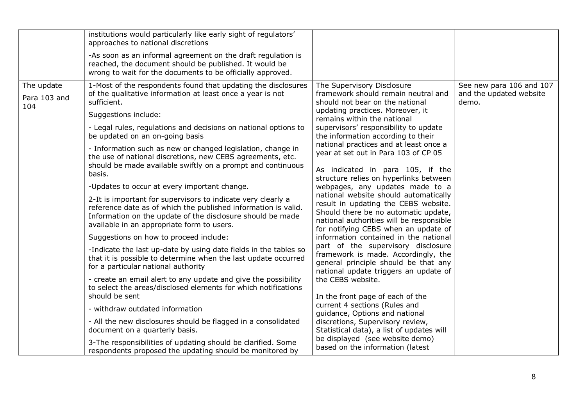|                                   | institutions would particularly like early sight of regulators'<br>approaches to national discretions<br>-As soon as an informal agreement on the draft regulation is                                                                      |                                                                                                                                                                                                                     |                                                              |
|-----------------------------------|--------------------------------------------------------------------------------------------------------------------------------------------------------------------------------------------------------------------------------------------|---------------------------------------------------------------------------------------------------------------------------------------------------------------------------------------------------------------------|--------------------------------------------------------------|
|                                   | reached, the document should be published. It would be<br>wrong to wait for the documents to be officially approved.                                                                                                                       |                                                                                                                                                                                                                     |                                                              |
| The update<br>Para 103 and<br>104 | 1-Most of the respondents found that updating the disclosures<br>of the qualitative information at least once a year is not<br>sufficient.<br>Suggestions include:                                                                         | The Supervisory Disclosure<br>framework should remain neutral and<br>should not bear on the national<br>updating practices. Moreover, it<br>remains within the national                                             | See new para 106 and 107<br>and the updated website<br>demo. |
|                                   | - Legal rules, regulations and decisions on national options to<br>be updated on an on-going basis                                                                                                                                         | supervisors' responsibility to update<br>the information according to their                                                                                                                                         |                                                              |
|                                   | - Information such as new or changed legislation, change in<br>the use of national discretions, new CEBS agreements, etc.<br>should be made available swiftly on a prompt and continuous<br>basis.                                         | national practices and at least once a<br>year at set out in Para 103 of CP 05<br>As indicated in para 105, if the<br>structure relies on hyperlinks between                                                        |                                                              |
|                                   | -Updates to occur at every important change.                                                                                                                                                                                               | webpages, any updates made to a                                                                                                                                                                                     |                                                              |
|                                   | 2-It is important for supervisors to indicate very clearly a<br>reference date as of which the published information is valid.<br>Information on the update of the disclosure should be made<br>available in an appropriate form to users. | national website should automatically<br>result in updating the CEBS website.<br>Should there be no automatic update,<br>national authorities will be responsible<br>for notifying CEBS when an update of           |                                                              |
|                                   | Suggestions on how to proceed include:                                                                                                                                                                                                     | information contained in the national                                                                                                                                                                               |                                                              |
|                                   | -Indicate the last up-date by using date fields in the tables so<br>that it is possible to determine when the last update occurred<br>for a particular national authority                                                                  | part of the supervisory disclosure<br>framework is made. Accordingly, the<br>general principle should be that any<br>national update triggers an update of<br>the CEBS website.<br>In the front page of each of the |                                                              |
|                                   | - create an email alert to any update and give the possibility<br>to select the areas/disclosed elements for which notifications<br>should be sent                                                                                         |                                                                                                                                                                                                                     |                                                              |
|                                   | - withdraw outdated information                                                                                                                                                                                                            | current 4 sections (Rules and<br>guidance, Options and national                                                                                                                                                     |                                                              |
|                                   | - All the new disclosures should be flagged in a consolidated<br>document on a quarterly basis.                                                                                                                                            | discretions, Supervisory review,<br>Statistical data), a list of updates will                                                                                                                                       |                                                              |
|                                   | 3-The responsibilities of updating should be clarified. Some<br>respondents proposed the updating should be monitored by                                                                                                                   | be displayed (see website demo)<br>based on the information (latest                                                                                                                                                 |                                                              |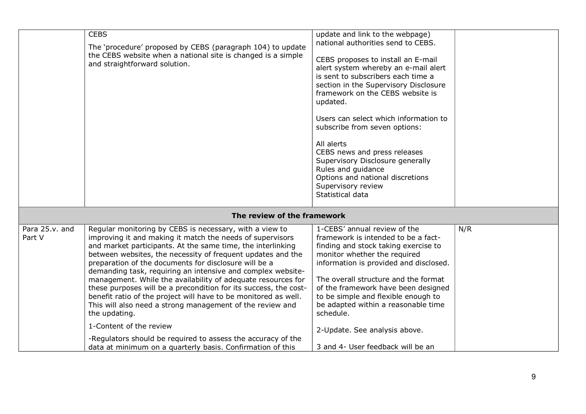|                          | <b>CEBS</b><br>The 'procedure' proposed by CEBS (paragraph 104) to update<br>the CEBS website when a national site is changed is a simple<br>and straightforward solution.                                                                                                                                                                                                                                                                                                                                                                                                                                                                                                                 | update and link to the webpage)<br>national authorities send to CEBS.<br>CEBS proposes to install an E-mail<br>alert system whereby an e-mail alert<br>is sent to subscribers each time a<br>section in the Supervisory Disclosure<br>framework on the CEBS website is<br>updated.<br>Users can select which information to<br>subscribe from seven options:<br>All alerts<br>CEBS news and press releases<br>Supervisory Disclosure generally<br>Rules and guidance<br>Options and national discretions<br>Supervisory review<br>Statistical data |     |
|--------------------------|--------------------------------------------------------------------------------------------------------------------------------------------------------------------------------------------------------------------------------------------------------------------------------------------------------------------------------------------------------------------------------------------------------------------------------------------------------------------------------------------------------------------------------------------------------------------------------------------------------------------------------------------------------------------------------------------|----------------------------------------------------------------------------------------------------------------------------------------------------------------------------------------------------------------------------------------------------------------------------------------------------------------------------------------------------------------------------------------------------------------------------------------------------------------------------------------------------------------------------------------------------|-----|
|                          | The review of the framework                                                                                                                                                                                                                                                                                                                                                                                                                                                                                                                                                                                                                                                                |                                                                                                                                                                                                                                                                                                                                                                                                                                                                                                                                                    |     |
| Para 25.v. and<br>Part V | Regular monitoring by CEBS is necessary, with a view to<br>improving it and making it match the needs of supervisors<br>and market participants. At the same time, the interlinking<br>between websites, the necessity of frequent updates and the<br>preparation of the documents for disclosure will be a<br>demanding task, requiring an intensive and complex website-<br>management. While the availability of adequate resources for<br>these purposes will be a precondition for its success, the cost-<br>benefit ratio of the project will have to be monitored as well.<br>This will also need a strong management of the review and<br>the updating.<br>1-Content of the review | 1-CEBS' annual review of the<br>framework is intended to be a fact-<br>finding and stock taking exercise to<br>monitor whether the required<br>information is provided and disclosed.<br>The overall structure and the format<br>of the framework have been designed<br>to be simple and flexible enough to<br>be adapted within a reasonable time<br>schedule.<br>2-Update. See analysis above.                                                                                                                                                   | N/R |
|                          | -Regulators should be required to assess the accuracy of the<br>data at minimum on a quarterly basis. Confirmation of this                                                                                                                                                                                                                                                                                                                                                                                                                                                                                                                                                                 | 3 and 4- User feedback will be an                                                                                                                                                                                                                                                                                                                                                                                                                                                                                                                  |     |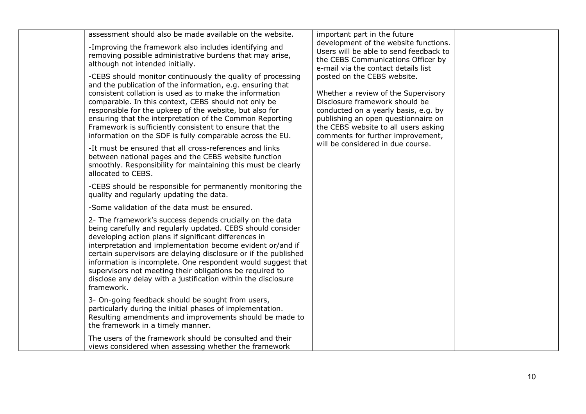| assessment should also be made available on the website.                                                                                                                                                                                                                                                                                                                                                                                                                                                                     | important part in the future                                                                                                                                                                                                                                                                          |  |
|------------------------------------------------------------------------------------------------------------------------------------------------------------------------------------------------------------------------------------------------------------------------------------------------------------------------------------------------------------------------------------------------------------------------------------------------------------------------------------------------------------------------------|-------------------------------------------------------------------------------------------------------------------------------------------------------------------------------------------------------------------------------------------------------------------------------------------------------|--|
| -Improving the framework also includes identifying and<br>removing possible administrative burdens that may arise,<br>although not intended initially.                                                                                                                                                                                                                                                                                                                                                                       | development of the website functions.<br>Users will be able to send feedback to<br>the CEBS Communications Officer by<br>e-mail via the contact details list                                                                                                                                          |  |
| -CEBS should monitor continuously the quality of processing<br>and the publication of the information, e.g. ensuring that<br>consistent collation is used as to make the information<br>comparable. In this context, CEBS should not only be<br>responsible for the upkeep of the website, but also for<br>ensuring that the interpretation of the Common Reporting<br>Framework is sufficiently consistent to ensure that the<br>information on the SDF is fully comparable across the EU.                                  | posted on the CEBS website.<br>Whether a review of the Supervisory<br>Disclosure framework should be<br>conducted on a yearly basis, e.g. by<br>publishing an open questionnaire on<br>the CEBS website to all users asking<br>comments for further improvement,<br>will be considered in due course. |  |
| -It must be ensured that all cross-references and links<br>between national pages and the CEBS website function<br>smoothly. Responsibility for maintaining this must be clearly<br>allocated to CEBS.                                                                                                                                                                                                                                                                                                                       |                                                                                                                                                                                                                                                                                                       |  |
| -CEBS should be responsible for permanently monitoring the<br>quality and regularly updating the data.                                                                                                                                                                                                                                                                                                                                                                                                                       |                                                                                                                                                                                                                                                                                                       |  |
| -Some validation of the data must be ensured.                                                                                                                                                                                                                                                                                                                                                                                                                                                                                |                                                                                                                                                                                                                                                                                                       |  |
| 2- The framework's success depends crucially on the data<br>being carefully and regularly updated. CEBS should consider<br>developing action plans if significant differences in<br>interpretation and implementation become evident or/and if<br>certain supervisors are delaying disclosure or if the published<br>information is incomplete. One respondent would suggest that<br>supervisors not meeting their obligations be required to<br>disclose any delay with a justification within the disclosure<br>framework. |                                                                                                                                                                                                                                                                                                       |  |
| 3- On-going feedback should be sought from users,<br>particularly during the initial phases of implementation.<br>Resulting amendments and improvements should be made to<br>the framework in a timely manner.                                                                                                                                                                                                                                                                                                               |                                                                                                                                                                                                                                                                                                       |  |
| The users of the framework should be consulted and their<br>views considered when assessing whether the framework                                                                                                                                                                                                                                                                                                                                                                                                            |                                                                                                                                                                                                                                                                                                       |  |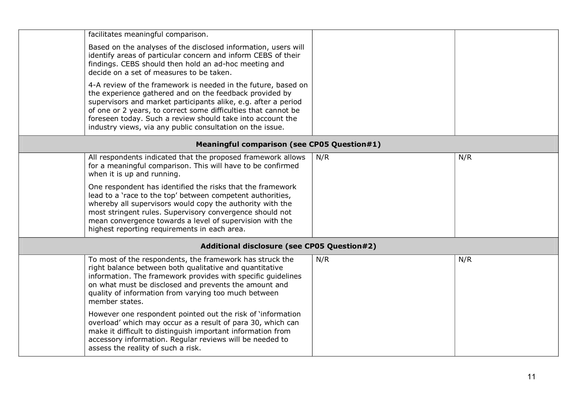| facilitates meaningful comparison.                                                                                                                                                                                                                                                                                                                                                      |     |     |
|-----------------------------------------------------------------------------------------------------------------------------------------------------------------------------------------------------------------------------------------------------------------------------------------------------------------------------------------------------------------------------------------|-----|-----|
| Based on the analyses of the disclosed information, users will<br>identify areas of particular concern and inform CEBS of their<br>findings. CEBS should then hold an ad-hoc meeting and<br>decide on a set of measures to be taken.                                                                                                                                                    |     |     |
| 4-A review of the framework is needed in the future, based on<br>the experience gathered and on the feedback provided by<br>supervisors and market participants alike, e.g. after a period<br>of one or 2 years, to correct some difficulties that cannot be<br>foreseen today. Such a review should take into account the<br>industry views, via any public consultation on the issue. |     |     |
| <b>Meaningful comparison (see CP05 Question#1)</b>                                                                                                                                                                                                                                                                                                                                      |     |     |
| All respondents indicated that the proposed framework allows<br>for a meaningful comparison. This will have to be confirmed<br>when it is up and running.                                                                                                                                                                                                                               | N/R | N/R |
| One respondent has identified the risks that the framework<br>lead to a 'race to the top' between competent authorities,<br>whereby all supervisors would copy the authority with the<br>most stringent rules. Supervisory convergence should not<br>mean convergence towards a level of supervision with the<br>highest reporting requirements in each area.                           |     |     |
| <b>Additional disclosure (see CP05 Question#2)</b>                                                                                                                                                                                                                                                                                                                                      |     |     |
| To most of the respondents, the framework has struck the<br>right balance between both qualitative and quantitative<br>information. The framework provides with specific guidelines<br>on what must be disclosed and prevents the amount and<br>quality of information from varying too much between<br>member states.                                                                  | N/R | N/R |
| However one respondent pointed out the risk of 'information<br>overload' which may occur as a result of para 30, which can<br>make it difficult to distinguish important information from<br>accessory information. Regular reviews will be needed to<br>assess the reality of such a risk.                                                                                             |     |     |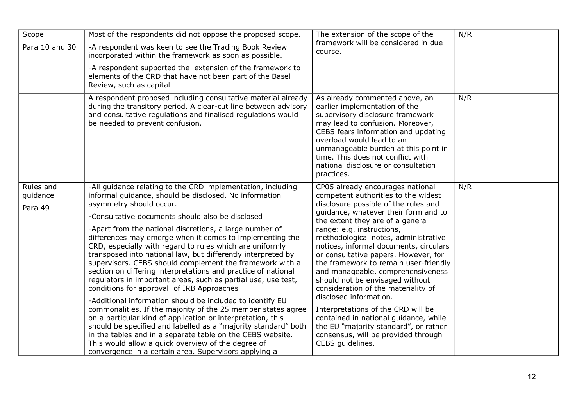| Scope                            | Most of the respondents did not oppose the proposed scope.                                                                                                                                                                                                                                                                                                                                                                                                                                                                                                                                                                                                                                                                                                                                                                                                                                                                                                                                                                                                                                                                                    | The extension of the scope of the                                                                                                                                                                                                                                                                                                                                                                                                                                                                                                                                                                                                                                                                                       | N/R |
|----------------------------------|-----------------------------------------------------------------------------------------------------------------------------------------------------------------------------------------------------------------------------------------------------------------------------------------------------------------------------------------------------------------------------------------------------------------------------------------------------------------------------------------------------------------------------------------------------------------------------------------------------------------------------------------------------------------------------------------------------------------------------------------------------------------------------------------------------------------------------------------------------------------------------------------------------------------------------------------------------------------------------------------------------------------------------------------------------------------------------------------------------------------------------------------------|-------------------------------------------------------------------------------------------------------------------------------------------------------------------------------------------------------------------------------------------------------------------------------------------------------------------------------------------------------------------------------------------------------------------------------------------------------------------------------------------------------------------------------------------------------------------------------------------------------------------------------------------------------------------------------------------------------------------------|-----|
| Para 10 and 30                   | -A respondent was keen to see the Trading Book Review<br>incorporated within the framework as soon as possible.                                                                                                                                                                                                                                                                                                                                                                                                                                                                                                                                                                                                                                                                                                                                                                                                                                                                                                                                                                                                                               | framework will be considered in due<br>course.                                                                                                                                                                                                                                                                                                                                                                                                                                                                                                                                                                                                                                                                          |     |
|                                  | -A respondent supported the extension of the framework to<br>elements of the CRD that have not been part of the Basel<br>Review, such as capital                                                                                                                                                                                                                                                                                                                                                                                                                                                                                                                                                                                                                                                                                                                                                                                                                                                                                                                                                                                              |                                                                                                                                                                                                                                                                                                                                                                                                                                                                                                                                                                                                                                                                                                                         |     |
|                                  | A respondent proposed including consultative material already<br>during the transitory period. A clear-cut line between advisory<br>and consultative regulations and finalised regulations would<br>be needed to prevent confusion.                                                                                                                                                                                                                                                                                                                                                                                                                                                                                                                                                                                                                                                                                                                                                                                                                                                                                                           | As already commented above, an<br>earlier implementation of the<br>supervisory disclosure framework<br>may lead to confusion. Moreover,<br>CEBS fears information and updating<br>overload would lead to an<br>unmanageable burden at this point in<br>time. This does not conflict with<br>national disclosure or consultation<br>practices.                                                                                                                                                                                                                                                                                                                                                                           | N/R |
| Rules and<br>guidance<br>Para 49 | -All guidance relating to the CRD implementation, including<br>informal guidance, should be disclosed. No information<br>asymmetry should occur.<br>-Consultative documents should also be disclosed<br>-Apart from the national discretions, a large number of<br>differences may emerge when it comes to implementing the<br>CRD, especially with regard to rules which are uniformly<br>transposed into national law, but differently interpreted by<br>supervisors. CEBS should complement the framework with a<br>section on differing interpretations and practice of national<br>regulators in important areas, such as partial use, use test,<br>conditions for approval of IRB Approaches<br>-Additional information should be included to identify EU<br>commonalities. If the majority of the 25 member states agree<br>on a particular kind of application or interpretation, this<br>should be specified and labelled as a "majority standard" both<br>in the tables and in a separate table on the CEBS website.<br>This would allow a quick overview of the degree of<br>convergence in a certain area. Supervisors applying a | CP05 already encourages national<br>competent authorities to the widest<br>disclosure possible of the rules and<br>quidance, whatever their form and to<br>the extent they are of a general<br>range: e.g. instructions,<br>methodological notes, administrative<br>notices, informal documents, circulars<br>or consultative papers. However, for<br>the framework to remain user-friendly<br>and manageable, comprehensiveness<br>should not be envisaged without<br>consideration of the materiality of<br>disclosed information.<br>Interpretations of the CRD will be<br>contained in national guidance, while<br>the EU "majority standard", or rather<br>consensus, will be provided through<br>CEBS guidelines. | N/R |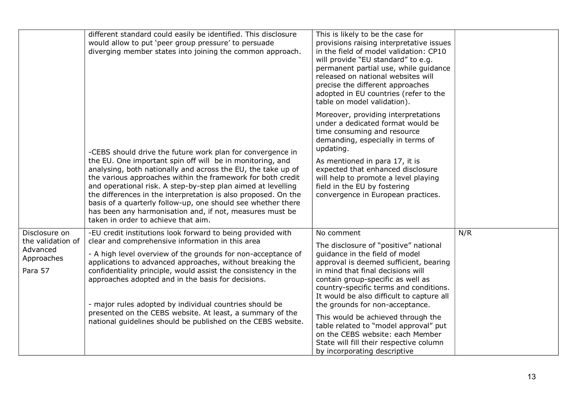|                                                                         | different standard could easily be identified. This disclosure<br>would allow to put 'peer group pressure' to persuade<br>diverging member states into joining the common approach.                                                                                                                                                                                                                                                                                                                                                                          | This is likely to be the case for<br>provisions raising interpretative issues<br>in the field of model validation: CP10<br>will provide "EU standard" to e.g.<br>permanent partial use, while guidance<br>released on national websites will<br>precise the different approaches<br>adopted in EU countries (refer to the<br>table on model validation).                                                                                                                                                                          |     |
|-------------------------------------------------------------------------|--------------------------------------------------------------------------------------------------------------------------------------------------------------------------------------------------------------------------------------------------------------------------------------------------------------------------------------------------------------------------------------------------------------------------------------------------------------------------------------------------------------------------------------------------------------|-----------------------------------------------------------------------------------------------------------------------------------------------------------------------------------------------------------------------------------------------------------------------------------------------------------------------------------------------------------------------------------------------------------------------------------------------------------------------------------------------------------------------------------|-----|
|                                                                         | -CEBS should drive the future work plan for convergence in<br>the EU. One important spin off will be in monitoring, and<br>analysing, both nationally and across the EU, the take up of<br>the various approaches within the framework for both credit<br>and operational risk. A step-by-step plan aimed at levelling<br>the differences in the interpretation is also proposed. On the<br>basis of a quarterly follow-up, one should see whether there<br>has been any harmonisation and, if not, measures must be<br>taken in order to achieve that aim.  | Moreover, providing interpretations<br>under a dedicated format would be<br>time consuming and resource<br>demanding, especially in terms of<br>updating.<br>As mentioned in para 17, it is<br>expected that enhanced disclosure<br>will help to promote a level playing<br>field in the EU by fostering<br>convergence in European practices.                                                                                                                                                                                    |     |
| Disclosure on<br>the validation of<br>Advanced<br>Approaches<br>Para 57 | -EU credit institutions look forward to being provided with<br>clear and comprehensive information in this area<br>- A high level overview of the grounds for non-acceptance of<br>applications to advanced approaches, without breaking the<br>confidentiality principle, would assist the consistency in the<br>approaches adopted and in the basis for decisions.<br>- major rules adopted by individual countries should be<br>presented on the CEBS website. At least, a summary of the<br>national guidelines should be published on the CEBS website. | No comment<br>The disclosure of "positive" national<br>quidance in the field of model<br>approval is deemed sufficient, bearing<br>in mind that final decisions will<br>contain group-specific as well as<br>country-specific terms and conditions.<br>It would be also difficult to capture all<br>the grounds for non-acceptance.<br>This would be achieved through the<br>table related to "model approval" put<br>on the CEBS website: each Member<br>State will fill their respective column<br>by incorporating descriptive | N/R |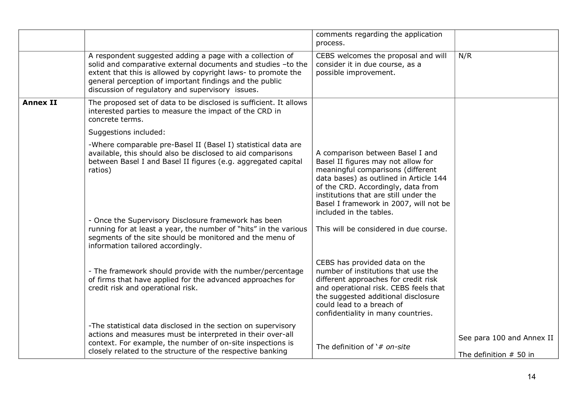|                 |                                                                                                                                                                                                                                                                                                           | comments regarding the application<br>process.                                                                                                                                                                                                                                                            |                                                       |
|-----------------|-----------------------------------------------------------------------------------------------------------------------------------------------------------------------------------------------------------------------------------------------------------------------------------------------------------|-----------------------------------------------------------------------------------------------------------------------------------------------------------------------------------------------------------------------------------------------------------------------------------------------------------|-------------------------------------------------------|
|                 | A respondent suggested adding a page with a collection of<br>solid and comparative external documents and studies -to the<br>extent that this is allowed by copyright laws- to promote the<br>general perception of important findings and the public<br>discussion of regulatory and supervisory issues. | CEBS welcomes the proposal and will<br>consider it in due course, as a<br>possible improvement.                                                                                                                                                                                                           | N/R                                                   |
| <b>Annex II</b> | The proposed set of data to be disclosed is sufficient. It allows<br>interested parties to measure the impact of the CRD in<br>concrete terms.                                                                                                                                                            |                                                                                                                                                                                                                                                                                                           |                                                       |
|                 | Suggestions included:                                                                                                                                                                                                                                                                                     |                                                                                                                                                                                                                                                                                                           |                                                       |
|                 | -Where comparable pre-Basel II (Basel I) statistical data are<br>available, this should also be disclosed to aid comparisons<br>between Basel I and Basel II figures (e.g. aggregated capital<br>ratios)<br>- Once the Supervisory Disclosure framework has been                                          | A comparison between Basel I and<br>Basel II figures may not allow for<br>meaningful comparisons (different<br>data bases) as outlined in Article 144<br>of the CRD. Accordingly, data from<br>institutions that are still under the<br>Basel I framework in 2007, will not be<br>included in the tables. |                                                       |
|                 | running for at least a year, the number of "hits" in the various<br>segments of the site should be monitored and the menu of<br>information tailored accordingly.                                                                                                                                         | This will be considered in due course.                                                                                                                                                                                                                                                                    |                                                       |
|                 | - The framework should provide with the number/percentage<br>of firms that have applied for the advanced approaches for<br>credit risk and operational risk.                                                                                                                                              | CEBS has provided data on the<br>number of institutions that use the<br>different approaches for credit risk<br>and operational risk. CEBS feels that<br>the suggested additional disclosure<br>could lead to a breach of<br>confidentiality in many countries.                                           |                                                       |
|                 | -The statistical data disclosed in the section on supervisory<br>actions and measures must be interpreted in their over-all<br>context. For example, the number of on-site inspections is<br>closely related to the structure of the respective banking                                                   | The definition of $*$ <i>on-site</i>                                                                                                                                                                                                                                                                      | See para 100 and Annex II<br>The definition $#$ 50 in |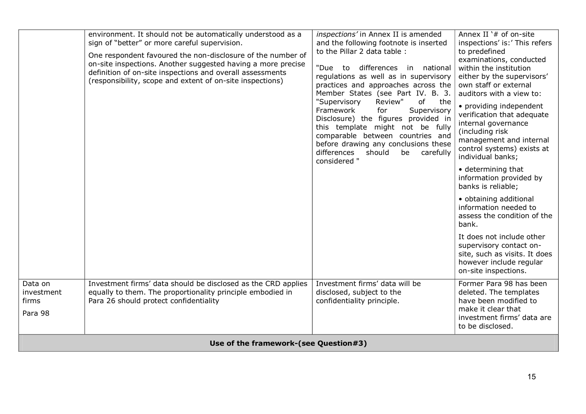|                                           | Use of the framework-(see Question#3)                                                                                                                                                                                                                 |                                                                                                                                                                                                                                                                                            |                                                                                                                                                                               |
|-------------------------------------------|-------------------------------------------------------------------------------------------------------------------------------------------------------------------------------------------------------------------------------------------------------|--------------------------------------------------------------------------------------------------------------------------------------------------------------------------------------------------------------------------------------------------------------------------------------------|-------------------------------------------------------------------------------------------------------------------------------------------------------------------------------|
| Data on<br>investment<br>firms<br>Para 98 | Investment firms' data should be disclosed as the CRD applies<br>equally to them. The proportionality principle embodied in<br>Para 26 should protect confidentiality                                                                                 | Investment firms' data will be<br>disclosed, subject to the<br>confidentiality principle.                                                                                                                                                                                                  | Former Para 98 has been<br>deleted. The templates<br>have been modified to<br>make it clear that<br>investment firms' data are<br>to be disclosed.                            |
|                                           |                                                                                                                                                                                                                                                       |                                                                                                                                                                                                                                                                                            | It does not include other<br>supervisory contact on-<br>site, such as visits. It does<br>however include regular<br>on-site inspections.                                      |
|                                           |                                                                                                                                                                                                                                                       |                                                                                                                                                                                                                                                                                            | · obtaining additional<br>information needed to<br>assess the condition of the<br>bank.                                                                                       |
|                                           |                                                                                                                                                                                                                                                       |                                                                                                                                                                                                                                                                                            | • determining that<br>information provided by<br>banks is reliable;                                                                                                           |
|                                           |                                                                                                                                                                                                                                                       | of<br>"Supervisory<br>Review"<br>the<br>Framework<br>Supervisory<br>for<br>Disclosure) the figures provided in<br>this template might not be fully<br>comparable between countries and<br>before drawing any conclusions these<br>differences<br>should<br>be<br>carefully<br>considered " | • providing independent<br>verification that adequate<br>internal governance<br>(including risk<br>management and internal<br>control systems) exists at<br>individual banks; |
|                                           | One respondent favoured the non-disclosure of the number of<br>on-site inspections. Another suggested having a more precise<br>definition of on-site inspections and overall assessments<br>(responsibility, scope and extent of on-site inspections) | to the Pillar 2 data table :<br>"Due<br>to differences in national<br>regulations as well as in supervisory<br>practices and approaches across the<br>Member States (see Part IV. B. 3.                                                                                                    | to predefined<br>examinations, conducted<br>within the institution<br>either by the supervisors'<br>own staff or external<br>auditors with a view to:                         |
|                                           | environment. It should not be automatically understood as a<br>sign of "better" or more careful supervision.                                                                                                                                          | inspections' in Annex II is amended<br>and the following footnote is inserted                                                                                                                                                                                                              | Annex II '# of on-site<br>inspections' is:' This refers                                                                                                                       |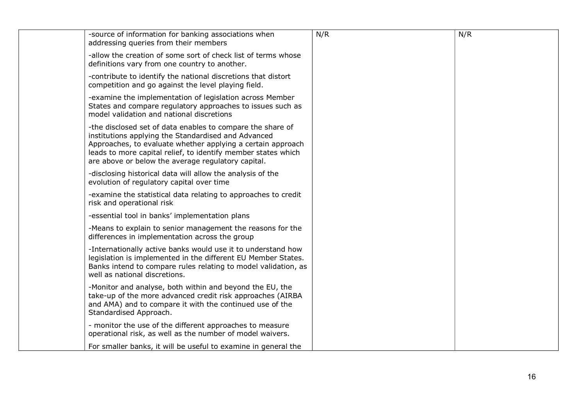| -source of information for banking associations when<br>addressing queries from their members                                                                                                                                                                                                           | N/R | N/R |
|---------------------------------------------------------------------------------------------------------------------------------------------------------------------------------------------------------------------------------------------------------------------------------------------------------|-----|-----|
| -allow the creation of some sort of check list of terms whose<br>definitions vary from one country to another.                                                                                                                                                                                          |     |     |
| -contribute to identify the national discretions that distort<br>competition and go against the level playing field.                                                                                                                                                                                    |     |     |
| -examine the implementation of legislation across Member<br>States and compare regulatory approaches to issues such as<br>model validation and national discretions                                                                                                                                     |     |     |
| -the disclosed set of data enables to compare the share of<br>institutions applying the Standardised and Advanced<br>Approaches, to evaluate whether applying a certain approach<br>leads to more capital relief, to identify member states which<br>are above or below the average regulatory capital. |     |     |
| -disclosing historical data will allow the analysis of the<br>evolution of regulatory capital over time                                                                                                                                                                                                 |     |     |
| -examine the statistical data relating to approaches to credit<br>risk and operational risk                                                                                                                                                                                                             |     |     |
| -essential tool in banks' implementation plans                                                                                                                                                                                                                                                          |     |     |
| -Means to explain to senior management the reasons for the<br>differences in implementation across the group                                                                                                                                                                                            |     |     |
| -Internationally active banks would use it to understand how<br>legislation is implemented in the different EU Member States.<br>Banks intend to compare rules relating to model validation, as<br>well as national discretions.                                                                        |     |     |
| -Monitor and analyse, both within and beyond the EU, the<br>take-up of the more advanced credit risk approaches (AIRBA<br>and AMA) and to compare it with the continued use of the<br>Standardised Approach.                                                                                            |     |     |
| - monitor the use of the different approaches to measure<br>operational risk, as well as the number of model waivers.                                                                                                                                                                                   |     |     |
| For smaller banks, it will be useful to examine in general the                                                                                                                                                                                                                                          |     |     |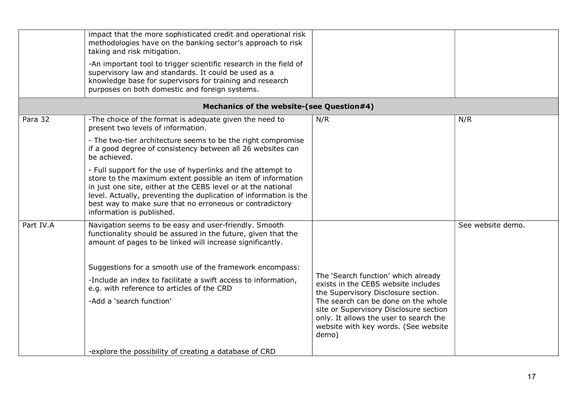|           | impact that the more sophisticated credit and operational risk<br>methodologies have on the banking sector's approach to risk<br>taking and risk mitigation.<br>-An important tool to trigger scientific research in the field of<br>supervisory law and standards. It could be used as a<br>knowledge base for supervisors for training and research<br>purposes on both domestic and foreign systems. |                                                                                                                                                                          |                   |
|-----------|---------------------------------------------------------------------------------------------------------------------------------------------------------------------------------------------------------------------------------------------------------------------------------------------------------------------------------------------------------------------------------------------------------|--------------------------------------------------------------------------------------------------------------------------------------------------------------------------|-------------------|
|           | Mechanics of the website-(see Question#4)                                                                                                                                                                                                                                                                                                                                                               |                                                                                                                                                                          |                   |
| Para 32   | -The choice of the format is adequate given the need to<br>present two levels of information.                                                                                                                                                                                                                                                                                                           | N/R                                                                                                                                                                      | N/R               |
|           | - The two-tier architecture seems to be the right compromise<br>if a good degree of consistency between all 26 websites can<br>be achieved.                                                                                                                                                                                                                                                             |                                                                                                                                                                          |                   |
|           | - Full support for the use of hyperlinks and the attempt to<br>store to the maximum extent possible an item of information<br>in just one site, either at the CEBS level or at the national<br>level. Actually, preventing the duplication of information is the<br>best way to make sure that no erroneous or contradictory<br>information is published.                                               |                                                                                                                                                                          |                   |
| Part IV.A | Navigation seems to be easy and user-friendly. Smooth<br>functionality should be assured in the future, given that the<br>amount of pages to be linked will increase significantly.                                                                                                                                                                                                                     |                                                                                                                                                                          | See website demo. |
|           | Suggestions for a smooth use of the framework encompass:                                                                                                                                                                                                                                                                                                                                                |                                                                                                                                                                          |                   |
|           | -Include an index to facilitate a swift access to information,<br>e.g. with reference to articles of the CRD                                                                                                                                                                                                                                                                                            | The 'Search function' which already<br>exists in the CEBS website includes<br>the Supervisory Disclosure section.                                                        |                   |
|           | -Add a 'search function'                                                                                                                                                                                                                                                                                                                                                                                | The search can be done on the whole<br>site or Supervisory Disclosure section<br>only. It allows the user to search the<br>website with key words. (See website<br>demo) |                   |
|           | -explore the possibility of creating a database of CRD                                                                                                                                                                                                                                                                                                                                                  |                                                                                                                                                                          |                   |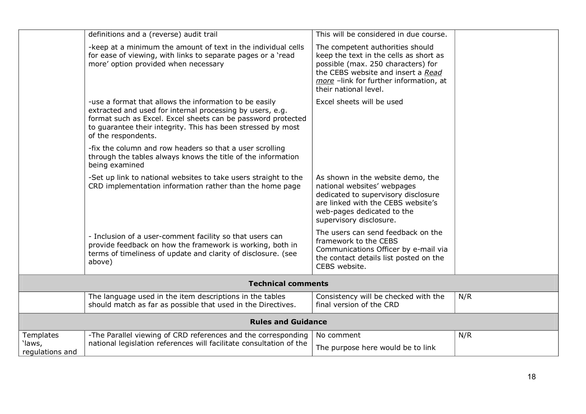|                                               | definitions and a (reverse) audit trail                                                                                                                                                                                                                                    | This will be considered in due course.                                                                                                                                                                                    |     |
|-----------------------------------------------|----------------------------------------------------------------------------------------------------------------------------------------------------------------------------------------------------------------------------------------------------------------------------|---------------------------------------------------------------------------------------------------------------------------------------------------------------------------------------------------------------------------|-----|
|                                               | -keep at a minimum the amount of text in the individual cells<br>for ease of viewing, with links to separate pages or a 'read<br>more' option provided when necessary                                                                                                      | The competent authorities should<br>keep the text in the cells as short as<br>possible (max. 250 characters) for<br>the CEBS website and insert a Read<br>more -link for further information, at<br>their national level. |     |
|                                               | -use a format that allows the information to be easily<br>extracted and used for internal processing by users, e.g.<br>format such as Excel. Excel sheets can be password protected<br>to guarantee their integrity. This has been stressed by most<br>of the respondents. | Excel sheets will be used                                                                                                                                                                                                 |     |
|                                               | -fix the column and row headers so that a user scrolling<br>through the tables always knows the title of the information<br>being examined                                                                                                                                 |                                                                                                                                                                                                                           |     |
|                                               | -Set up link to national websites to take users straight to the<br>CRD implementation information rather than the home page                                                                                                                                                | As shown in the website demo, the<br>national websites' webpages<br>dedicated to supervisory disclosure<br>are linked with the CEBS website's<br>web-pages dedicated to the<br>supervisory disclosure.                    |     |
|                                               | - Inclusion of a user-comment facility so that users can<br>provide feedback on how the framework is working, both in<br>terms of timeliness of update and clarity of disclosure. (see<br>above)                                                                           | The users can send feedback on the<br>framework to the CEBS<br>Communications Officer by e-mail via<br>the contact details list posted on the<br>CEBS website.                                                            |     |
|                                               | <b>Technical comments</b>                                                                                                                                                                                                                                                  |                                                                                                                                                                                                                           |     |
|                                               | The language used in the item descriptions in the tables<br>should match as far as possible that used in the Directives.                                                                                                                                                   | Consistency will be checked with the<br>final version of the CRD                                                                                                                                                          | N/R |
|                                               | <b>Rules and Guidance</b>                                                                                                                                                                                                                                                  |                                                                                                                                                                                                                           |     |
| <b>Templates</b><br>'laws,<br>regulations and | -The Parallel viewing of CRD references and the corresponding<br>national legislation references will facilitate consultation of the                                                                                                                                       | No comment<br>The purpose here would be to link                                                                                                                                                                           | N/R |
|                                               |                                                                                                                                                                                                                                                                            |                                                                                                                                                                                                                           |     |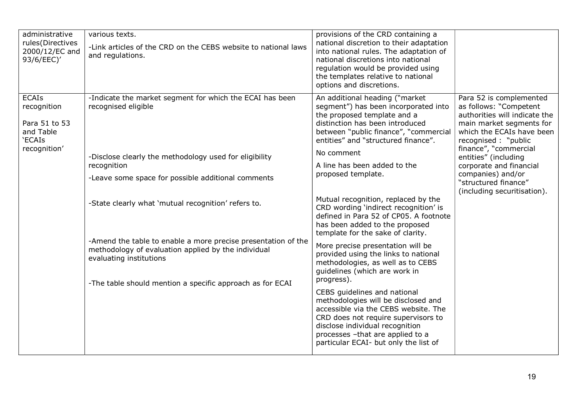| administrative<br>rules(Directives<br>2000/12/EC and<br>93/6/EEC)'                         | various texts.<br>-Link articles of the CRD on the CEBS website to national laws<br>and regulations.                                                                                                                                                                                                                                                                                                                                                                                  | provisions of the CRD containing a<br>national discretion to their adaptation<br>into national rules. The adaptation of<br>national discretions into national<br>regulation would be provided using<br>the templates relative to national<br>options and discretions.                                                                                                                                                                                                                                                                                                                                                                                                                                                                                                                                                                                                                                                                |                                                                                                                                                                                                                                                                                                                            |
|--------------------------------------------------------------------------------------------|---------------------------------------------------------------------------------------------------------------------------------------------------------------------------------------------------------------------------------------------------------------------------------------------------------------------------------------------------------------------------------------------------------------------------------------------------------------------------------------|--------------------------------------------------------------------------------------------------------------------------------------------------------------------------------------------------------------------------------------------------------------------------------------------------------------------------------------------------------------------------------------------------------------------------------------------------------------------------------------------------------------------------------------------------------------------------------------------------------------------------------------------------------------------------------------------------------------------------------------------------------------------------------------------------------------------------------------------------------------------------------------------------------------------------------------|----------------------------------------------------------------------------------------------------------------------------------------------------------------------------------------------------------------------------------------------------------------------------------------------------------------------------|
| <b>ECAIs</b><br>recognition<br>Para 51 to 53<br>and Table<br><b>`ECAIs</b><br>recognition' | -Indicate the market segment for which the ECAI has been<br>recognised eligible<br>-Disclose clearly the methodology used for eligibility<br>recognition<br>-Leave some space for possible additional comments<br>-State clearly what 'mutual recognition' refers to.<br>-Amend the table to enable a more precise presentation of the<br>methodology of evaluation applied by the individual<br>evaluating institutions<br>-The table should mention a specific approach as for ECAI | An additional heading ("market<br>segment") has been incorporated into<br>the proposed template and a<br>distinction has been introduced<br>between "public finance", "commercial<br>entities" and "structured finance".<br>No comment<br>A line has been added to the<br>proposed template.<br>Mutual recognition, replaced by the<br>CRD wording 'indirect recognition' is<br>defined in Para 52 of CP05. A footnote<br>has been added to the proposed<br>template for the sake of clarity.<br>More precise presentation will be<br>provided using the links to national<br>methodologies, as well as to CEBS<br>guidelines (which are work in<br>progress).<br>CEBS guidelines and national<br>methodologies will be disclosed and<br>accessible via the CEBS website. The<br>CRD does not require supervisors to<br>disclose individual recognition<br>processes -that are applied to a<br>particular ECAI- but only the list of | Para 52 is complemented<br>as follows: "Competent<br>authorities will indicate the<br>main market segments for<br>which the ECAIs have been<br>recognised: "public<br>finance", "commercial<br>entities" (including<br>corporate and financial<br>companies) and/or<br>"structured finance"<br>(including securitisation). |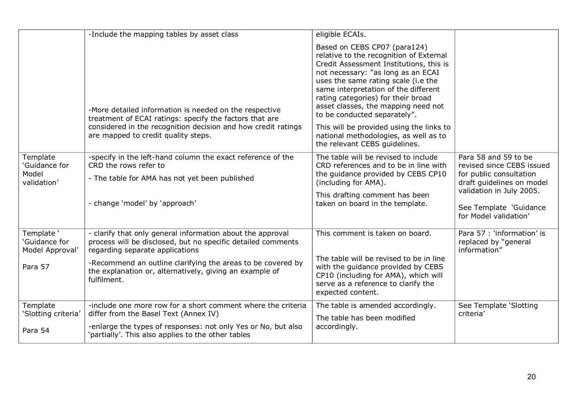|                                                           | -Include the mapping tables by asset class                                                                                                                                                                                                                                                             | eligible ECAIs.                                                                                                                                                                                                                                                                                                                                                                                                                                                            |                                                                                                                                                                                          |
|-----------------------------------------------------------|--------------------------------------------------------------------------------------------------------------------------------------------------------------------------------------------------------------------------------------------------------------------------------------------------------|----------------------------------------------------------------------------------------------------------------------------------------------------------------------------------------------------------------------------------------------------------------------------------------------------------------------------------------------------------------------------------------------------------------------------------------------------------------------------|------------------------------------------------------------------------------------------------------------------------------------------------------------------------------------------|
|                                                           | -More detailed information is needed on the respective<br>treatment of ECAI ratings: specify the factors that are<br>considered in the recognition decision and how credit ratings<br>are mapped to credit quality steps.                                                                              | Based on CEBS CP07 (para124)<br>relative to the recognition of External<br>Credit Assessment Institutions, this is<br>not necessary: "as long as an ECAI<br>uses the same rating scale (i.e the<br>same interpretation of the different<br>rating categories) for their broad<br>asset classes, the mapping need not<br>to be conducted separately".<br>This will be provided using the links to<br>national methodologies, as well as to<br>the relevant CEBS guidelines. |                                                                                                                                                                                          |
| Template<br>'Guidance for<br>Model<br>validation'         | -specify in the left-hand column the exact reference of the<br>CRD the rows refer to<br>- The table for AMA has not yet been published<br>- change 'model' by 'approach'                                                                                                                               | The table will be revised to include<br>CRD references and to be in line with<br>the guidance provided by CEBS CP10<br>(including for AMA).<br>This drafting comment has been<br>taken on board in the template.                                                                                                                                                                                                                                                           | Para 58 and 59 to be<br>revised since CEBS issued<br>for public consultation<br>draft guidelines on model<br>validation in July 2005.<br>See Template 'Guidance<br>for Model validation' |
| Template '<br>'Guidance for<br>Model Approval'<br>Para 57 | - clarify that only general information about the approval<br>process will be disclosed, but no specific detailed comments<br>regarding separate applications<br>-Recommend an outline clarifying the areas to be covered by<br>the explanation or, alternatively, giving an example of<br>fulfilment. | This comment is taken on board.<br>The table will be revised to be in line<br>with the guidance provided by CEBS<br>CP10 (including for AMA), which will<br>serve as a reference to clarify the<br>expected content.                                                                                                                                                                                                                                                       | Para 57 : 'information' is<br>replaced by "general<br>information"                                                                                                                       |
| Template<br>'Slotting criteria'<br>Para 54                | -include one more row for a short comment where the criteria<br>differ from the Basel Text (Annex IV)<br>-enlarge the types of responses: not only Yes or No, but also<br>'partially'. This also applies to the other tables                                                                           | The table is amended accordingly.<br>The table has been modified<br>accordingly.                                                                                                                                                                                                                                                                                                                                                                                           | See Template 'Slotting<br>criteria'                                                                                                                                                      |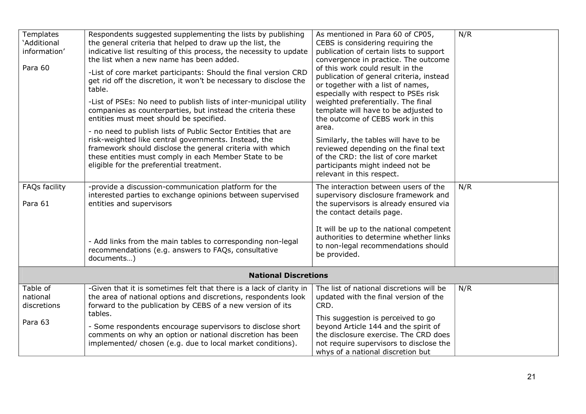| Templates<br>'Additional<br>information'<br>Para 60 | Respondents suggested supplementing the lists by publishing<br>the general criteria that helped to draw up the list, the<br>indicative list resulting of this process, the necessity to update<br>the list when a new name has been added.<br>-List of core market participants: Should the final version CRD<br>get rid off the discretion, it won't be necessary to disclose the<br>table.<br>-List of PSEs: No need to publish lists of inter-municipal utility<br>companies as counterparties, but instead the criteria these<br>entities must meet should be specified.<br>- no need to publish lists of Public Sector Entities that are<br>risk-weighted like central governments. Instead, the<br>framework should disclose the general criteria with which<br>these entities must comply in each Member State to be<br>eligible for the preferential treatment. | As mentioned in Para 60 of CP05,<br>CEBS is considering requiring the<br>publication of certain lists to support<br>convergence in practice. The outcome<br>of this work could result in the<br>publication of general criteria, instead<br>or together with a list of names,<br>especially with respect to PSEs risk<br>weighted preferentially. The final<br>template will have to be adjusted to<br>the outcome of CEBS work in this<br>area.<br>Similarly, the tables will have to be<br>reviewed depending on the final text<br>of the CRD: the list of core market<br>participants might indeed not be<br>relevant in this respect. | N/R |
|-----------------------------------------------------|-------------------------------------------------------------------------------------------------------------------------------------------------------------------------------------------------------------------------------------------------------------------------------------------------------------------------------------------------------------------------------------------------------------------------------------------------------------------------------------------------------------------------------------------------------------------------------------------------------------------------------------------------------------------------------------------------------------------------------------------------------------------------------------------------------------------------------------------------------------------------|-------------------------------------------------------------------------------------------------------------------------------------------------------------------------------------------------------------------------------------------------------------------------------------------------------------------------------------------------------------------------------------------------------------------------------------------------------------------------------------------------------------------------------------------------------------------------------------------------------------------------------------------|-----|
| FAQs facility<br>Para 61                            | -provide a discussion-communication platform for the<br>interested parties to exchange opinions between supervised<br>entities and supervisors                                                                                                                                                                                                                                                                                                                                                                                                                                                                                                                                                                                                                                                                                                                          | The interaction between users of the<br>supervisory disclosure framework and<br>the supervisors is already ensured via<br>the contact details page.                                                                                                                                                                                                                                                                                                                                                                                                                                                                                       | N/R |
|                                                     | - Add links from the main tables to corresponding non-legal<br>recommendations (e.g. answers to FAQs, consultative<br>documents)                                                                                                                                                                                                                                                                                                                                                                                                                                                                                                                                                                                                                                                                                                                                        | It will be up to the national competent<br>authorities to determine whether links<br>to non-legal recommendations should<br>be provided.                                                                                                                                                                                                                                                                                                                                                                                                                                                                                                  |     |
|                                                     | <b>National Discretions</b>                                                                                                                                                                                                                                                                                                                                                                                                                                                                                                                                                                                                                                                                                                                                                                                                                                             |                                                                                                                                                                                                                                                                                                                                                                                                                                                                                                                                                                                                                                           |     |
| Table of<br>national<br>discretions<br>Para 63      | -Given that it is sometimes felt that there is a lack of clarity in<br>the area of national options and discretions, respondents look<br>forward to the publication by CEBS of a new version of its<br>tables.<br>- Some respondents encourage supervisors to disclose short<br>comments on why an option or national discretion has been<br>implemented/chosen (e.g. due to local market conditions).                                                                                                                                                                                                                                                                                                                                                                                                                                                                  | The list of national discretions will be<br>updated with the final version of the<br>CRD.<br>This suggestion is perceived to go<br>beyond Article 144 and the spirit of<br>the disclosure exercise. The CRD does<br>not require supervisors to disclose the<br>whys of a national discretion but                                                                                                                                                                                                                                                                                                                                          | N/R |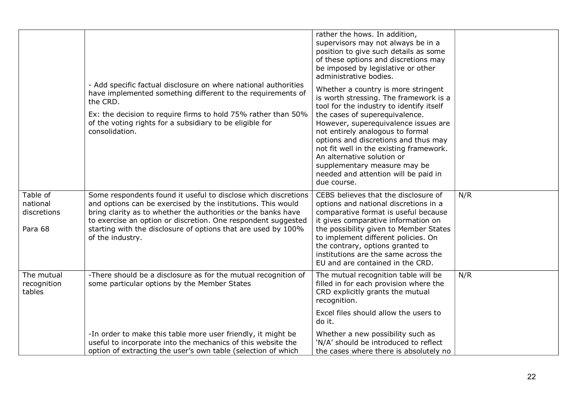|                                                | - Add specific factual disclosure on where national authorities<br>have implemented something different to the requirements of<br>the CRD.<br>Ex: the decision to require firms to hold 75% rather than 50%<br>of the voting rights for a subsidiary to be eligible for<br>consolidation.                                                             | rather the hows. In addition,<br>supervisors may not always be in a<br>position to give such details as some<br>of these options and discretions may<br>be imposed by legislative or other<br>administrative bodies.<br>Whether a country is more stringent<br>is worth stressing. The framework is a<br>tool for the industry to identify itself<br>the cases of superequivalence.<br>However, superequivalence issues are<br>not entirely analogous to formal<br>options and discretions and thus may<br>not fit well in the existing framework.<br>An alternative solution or<br>supplementary measure may be<br>needed and attention will be paid in<br>due course. |     |
|------------------------------------------------|-------------------------------------------------------------------------------------------------------------------------------------------------------------------------------------------------------------------------------------------------------------------------------------------------------------------------------------------------------|-------------------------------------------------------------------------------------------------------------------------------------------------------------------------------------------------------------------------------------------------------------------------------------------------------------------------------------------------------------------------------------------------------------------------------------------------------------------------------------------------------------------------------------------------------------------------------------------------------------------------------------------------------------------------|-----|
| Table of<br>national<br>discretions<br>Para 68 | Some respondents found it useful to disclose which discretions<br>and options can be exercised by the institutions. This would<br>bring clarity as to whether the authorities or the banks have<br>to exercise an option or discretion. One respondent suggested<br>starting with the disclosure of options that are used by 100%<br>of the industry. | CEBS believes that the disclosure of<br>options and national discretions in a<br>comparative format is useful because<br>it gives comparative information on<br>the possibility given to Member States<br>to implement different policies. On<br>the contrary, options granted to<br>institutions are the same across the<br>EU and are contained in the CRD.                                                                                                                                                                                                                                                                                                           | N/R |
| The mutual<br>recognition<br>tables            | -There should be a disclosure as for the mutual recognition of<br>some particular options by the Member States                                                                                                                                                                                                                                        | The mutual recognition table will be<br>filled in for each provision where the<br>CRD explicitly grants the mutual<br>recognition.<br>Excel files should allow the users to                                                                                                                                                                                                                                                                                                                                                                                                                                                                                             | N/R |
|                                                | -In order to make this table more user friendly, it might be<br>useful to incorporate into the mechanics of this website the<br>option of extracting the user's own table (selection of which                                                                                                                                                         | do it.<br>Whether a new possibility such as<br>'N/A' should be introduced to reflect<br>the cases where there is absolutely no                                                                                                                                                                                                                                                                                                                                                                                                                                                                                                                                          |     |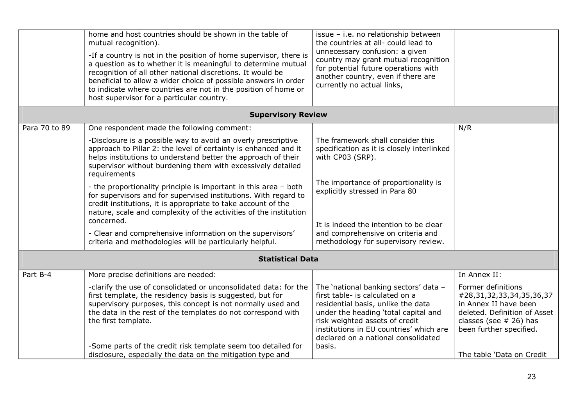|               | home and host countries should be shown in the table of<br>mutual recognition).<br>-If a country is not in the position of home supervisor, there is<br>a question as to whether it is meaningful to determine mutual                                                                   | issue - i.e. no relationship between<br>the countries at all- could lead to<br>unnecessary confusion: a given<br>country may grant mutual recognition<br>for potential future operations with                                                                              |                                                                                                                                                                |
|---------------|-----------------------------------------------------------------------------------------------------------------------------------------------------------------------------------------------------------------------------------------------------------------------------------------|----------------------------------------------------------------------------------------------------------------------------------------------------------------------------------------------------------------------------------------------------------------------------|----------------------------------------------------------------------------------------------------------------------------------------------------------------|
|               | recognition of all other national discretions. It would be<br>beneficial to allow a wider choice of possible answers in order<br>to indicate where countries are not in the position of home or<br>host supervisor for a particular country.                                            | another country, even if there are<br>currently no actual links,                                                                                                                                                                                                           |                                                                                                                                                                |
|               | <b>Supervisory Review</b>                                                                                                                                                                                                                                                               |                                                                                                                                                                                                                                                                            |                                                                                                                                                                |
| Para 70 to 89 | One respondent made the following comment:                                                                                                                                                                                                                                              |                                                                                                                                                                                                                                                                            | N/R                                                                                                                                                            |
|               | -Disclosure is a possible way to avoid an overly prescriptive<br>approach to Pillar 2: the level of certainty is enhanced and it<br>helps institutions to understand better the approach of their<br>supervisor without burdening them with excessively detailed<br>requirements        | The framework shall consider this<br>specification as it is closely interlinked<br>with CP03 (SRP).                                                                                                                                                                        |                                                                                                                                                                |
|               | - the proportionality principle is important in this area - both<br>for supervisors and for supervised institutions. With regard to<br>credit institutions, it is appropriate to take account of the<br>nature, scale and complexity of the activities of the institution<br>concerned. | The importance of proportionality is<br>explicitly stressed in Para 80<br>It is indeed the intention to be clear                                                                                                                                                           |                                                                                                                                                                |
|               | - Clear and comprehensive information on the supervisors'<br>criteria and methodologies will be particularly helpful.                                                                                                                                                                   | and comprehensive on criteria and<br>methodology for supervisory review.                                                                                                                                                                                                   |                                                                                                                                                                |
|               | <b>Statistical Data</b>                                                                                                                                                                                                                                                                 |                                                                                                                                                                                                                                                                            |                                                                                                                                                                |
| Part B-4      | More precise definitions are needed:                                                                                                                                                                                                                                                    |                                                                                                                                                                                                                                                                            | In Annex II:                                                                                                                                                   |
|               | -clarify the use of consolidated or unconsolidated data: for the<br>first template, the residency basis is suggested, but for<br>supervisory purposes, this concept is not normally used and<br>the data in the rest of the templates do not correspond with<br>the first template.     | The 'national banking sectors' data -<br>first table- is calculated on a<br>residential basis, unlike the data<br>under the heading 'total capital and<br>risk weighted assets of credit<br>institutions in EU countries' which are<br>declared on a national consolidated | Former definitions<br>#28,31,32,33,34,35,36,37<br>in Annex II have been<br>deleted. Definition of Asset<br>classes (see $#$ 26) has<br>been further specified. |
|               | -Some parts of the credit risk template seem too detailed for<br>disclosure, especially the data on the mitigation type and                                                                                                                                                             | basis.                                                                                                                                                                                                                                                                     | The table 'Data on Credit                                                                                                                                      |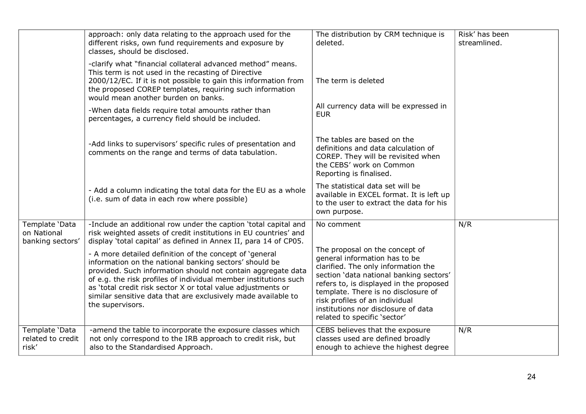|                                                   | approach: only data relating to the approach used for the<br>different risks, own fund requirements and exposure by<br>classes, should be disclosed.                                                                                                                                                                                                                                                                                                                                                                                                                                                                  | The distribution by CRM technique is<br>deleted.                                                                                                                                                                                                                                                                                                           | Risk' has been<br>streamlined. |
|---------------------------------------------------|-----------------------------------------------------------------------------------------------------------------------------------------------------------------------------------------------------------------------------------------------------------------------------------------------------------------------------------------------------------------------------------------------------------------------------------------------------------------------------------------------------------------------------------------------------------------------------------------------------------------------|------------------------------------------------------------------------------------------------------------------------------------------------------------------------------------------------------------------------------------------------------------------------------------------------------------------------------------------------------------|--------------------------------|
|                                                   | -clarify what "financial collateral advanced method" means.<br>This term is not used in the recasting of Directive<br>2000/12/EC. If it is not possible to gain this information from<br>the proposed COREP templates, requiring such information<br>would mean another burden on banks.<br>-When data fields require total amounts rather than<br>percentages, a currency field should be included.                                                                                                                                                                                                                  | The term is deleted<br>All currency data will be expressed in<br><b>EUR</b>                                                                                                                                                                                                                                                                                |                                |
|                                                   | -Add links to supervisors' specific rules of presentation and<br>comments on the range and terms of data tabulation.                                                                                                                                                                                                                                                                                                                                                                                                                                                                                                  | The tables are based on the<br>definitions and data calculation of<br>COREP. They will be revisited when<br>the CEBS' work on Common<br>Reporting is finalised.                                                                                                                                                                                            |                                |
|                                                   | - Add a column indicating the total data for the EU as a whole<br>(i.e. sum of data in each row where possible)                                                                                                                                                                                                                                                                                                                                                                                                                                                                                                       | The statistical data set will be<br>available in EXCEL format. It is left up<br>to the user to extract the data for his<br>own purpose.                                                                                                                                                                                                                    |                                |
| Template 'Data<br>on National<br>banking sectors' | -Include an additional row under the caption 'total capital and<br>risk weighted assets of credit institutions in EU countries' and<br>display 'total capital' as defined in Annex II, para 14 of CP05.<br>- A more detailed definition of the concept of 'general<br>information on the national banking sectors' should be<br>provided. Such information should not contain aggregate data<br>of e.g. the risk profiles of individual member institutions such<br>as 'total credit risk sector X or total value adjustments or<br>similar sensitive data that are exclusively made available to<br>the supervisors. | No comment<br>The proposal on the concept of<br>general information has to be<br>clarified. The only information the<br>section 'data national banking sectors'<br>refers to, is displayed in the proposed<br>template. There is no disclosure of<br>risk profiles of an individual<br>institutions nor disclosure of data<br>related to specific 'sector' | N/R                            |
| Template 'Data<br>related to credit<br>risk'      | -amend the table to incorporate the exposure classes which<br>not only correspond to the IRB approach to credit risk, but<br>also to the Standardised Approach.                                                                                                                                                                                                                                                                                                                                                                                                                                                       | CEBS believes that the exposure<br>classes used are defined broadly<br>enough to achieve the highest degree                                                                                                                                                                                                                                                | N/R                            |